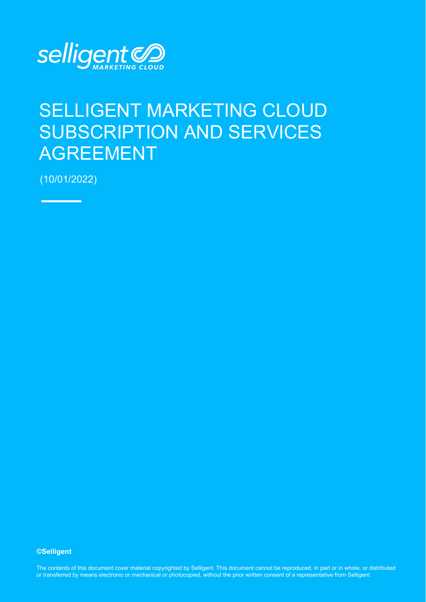

# SELLIGENT MARKETING CLOUD SUBSCRIPTION AND SERVICES AGREEMENT

(10/01/2022)

**©Selligent** 

The contents of this document cover material copyrighted by Selligent. This document cannot be reproduced, in part or in whole, or distributed or transferred by means electronic or mechanical or photocopied, without the prior written consent of a representative from Selligent.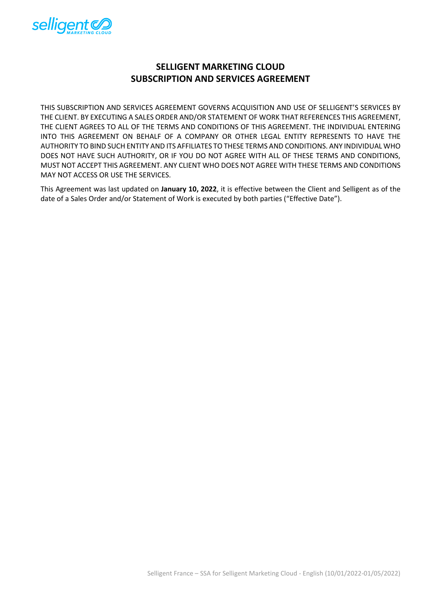

# **SELLIGENT MARKETING CLOUD SUBSCRIPTION AND SERVICES AGREEMENT**

THIS SUBSCRIPTION AND SERVICES AGREEMENT GOVERNS ACQUISITION AND USE OF SELLIGENT'S SERVICES BY THE CLIENT. BY EXECUTING A SALES ORDER AND/OR STATEMENT OF WORK THAT REFERENCES THIS AGREEMENT, THE CLIENT AGREES TO ALL OF THE TERMS AND CONDITIONS OF THIS AGREEMENT. THE INDIVIDUAL ENTERING INTO THIS AGREEMENT ON BEHALF OF A COMPANY OR OTHER LEGAL ENTITY REPRESENTS TO HAVE THE AUTHORITY TO BIND SUCH ENTITY AND ITS AFFILIATES TO THESE TERMS AND CONDITIONS. ANY INDIVIDUAL WHO DOES NOT HAVE SUCH AUTHORITY, OR IF YOU DO NOT AGREE WITH ALL OF THESE TERMS AND CONDITIONS, MUST NOT ACCEPT THIS AGREEMENT. ANY CLIENT WHO DOES NOT AGREE WITH THESE TERMS AND CONDITIONS MAY NOT ACCESS OR USE THE SERVICES.

This Agreement was last updated on **January 10, 2022**, it is effective between the Client and Selligent as of the date of a Sales Order and/or Statement of Work is executed by both parties ("Effective Date").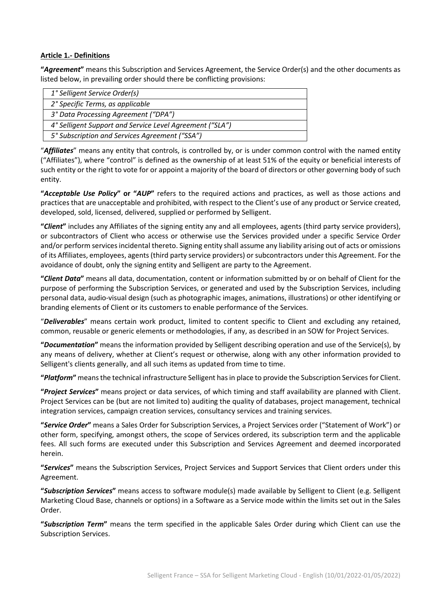# **Article 1.- Definitions**

**"***Agreement***"** means this Subscription and Services Agreement, the Service Order(s) and the other documents as listed below, in prevailing order should there be conflicting provisions:

| 1° Selligent Service Order(s)                            |
|----------------------------------------------------------|
| 2° Specific Terms, as applicable                         |
| 3° Data Processing Agreement ("DPA")                     |
| 4° Selligent Support and Service Level Agreement ("SLA") |
| 5° Subscription and Services Agreement ("SSA")           |
|                                                          |

"*Affiliates*" means any entity that controls, is controlled by, or is under common control with the named entity ("Affiliates"), where "control" is defined as the ownership of at least 51% of the equity or beneficial interests of such entity or the right to vote for or appoint a majority of the board of directors or other governing body of such entity.

**"***Acceptable Use Policy***" or "***AUP***"** refers to the required actions and practices, as well as those actions and practices that are unacceptable and prohibited, with respect to the Client's use of any product or Service created, developed, sold, licensed, delivered, supplied or performed by Selligent.

**"***Client***"** includes any Affiliates of the signing entity any and all employees, agents (third party service providers), or subcontractors of Client who access or otherwise use the Services provided under a specific Service Order and/or perform services incidental thereto. Signing entity shall assume any liability arising out of acts or omissions of its Affiliates, employees, agents (third party service providers) or subcontractors under this Agreement. For the avoidance of doubt, only the signing entity and Selligent are party to the Agreement.

**"***Client Data***"** means all data, documentation, content or information submitted by or on behalf of Client for the purpose of performing the Subscription Services, or generated and used by the Subscription Services, including personal data, audio-visual design (such as photographic images, animations, illustrations) or other identifying or branding elements of Client or its customers to enable performance of the Services.

"*Deliverables*" means certain work product, limited to content specific to Client and excluding any retained, common, reusable or generic elements or methodologies, if any, as described in an SOW for Project Services.

**"***Documentation***"** means the information provided by Selligent describing operation and use of the Service(s), by any means of delivery, whether at Client's request or otherwise, along with any other information provided to Selligent's clients generally, and all such items as updated from time to time.

**"***Platform***"** means the technical infrastructure Selligent has in place to provide the Subscription Services for Client.

**"***Project Services***"** means project or data services, of which timing and staff availability are planned with Client. Project Services can be (but are not limited to) auditing the quality of databases, project management, technical integration services, campaign creation services, consultancy services and training services.

**"***Service Order***"** means a Sales Order for Subscription Services, a Project Services order ("Statement of Work") or other form, specifying, amongst others, the scope of Services ordered, its subscription term and the applicable fees. All such forms are executed under this Subscription and Services Agreement and deemed incorporated herein.

**"***Services***"** means the Subscription Services, Project Services and Support Services that Client orders under this Agreement.

**"***Subscription Services***"** means access to software module(s) made available by Selligent to Client (e.g. Selligent Marketing Cloud Base, channels or options) in a Software as a Service mode within the limits set out in the Sales Order.

**"***Subscription Term***"** means the term specified in the applicable Sales Order during which Client can use the Subscription Services.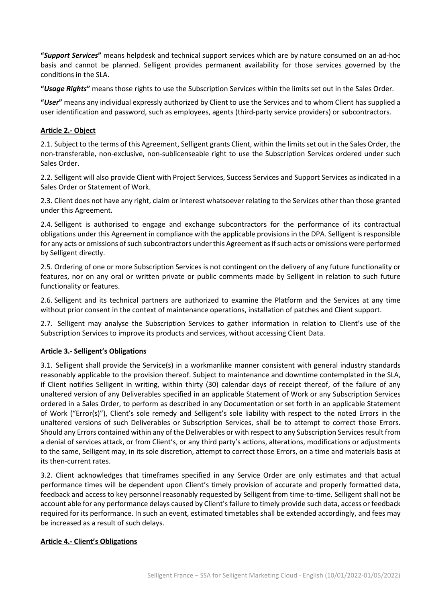**"***Support Services***"** means helpdesk and technical support services which are by nature consumed on an ad-hoc basis and cannot be planned. Selligent provides permanent availability for those services governed by the conditions in the SLA.

**"***Usage Rights***"** means those rights to use the Subscription Services within the limits set out in the Sales Order.

**"***User***"** means any individual expressly authorized by Client to use the Services and to whom Client has supplied a user identification and password, such as employees, agents (third-party service providers) or subcontractors.

# **Article 2.- Object**

2.1. Subject to the terms of this Agreement, Selligent grants Client, within the limits set out in the Sales Order, the non-transferable, non-exclusive, non-sublicenseable right to use the Subscription Services ordered under such Sales Order.

2.2. Selligent will also provide Client with Project Services, Success Services and Support Services as indicated in a Sales Order or Statement of Work.

2.3. Client does not have any right, claim or interest whatsoever relating to the Services other than those granted under this Agreement.

2.4. Selligent is authorised to engage and exchange subcontractors for the performance of its contractual obligations under this Agreement in compliance with the applicable provisions in the DPA. Selligent is responsible for any acts or omissions of such subcontractors under this Agreement as if such acts or omissions were performed by Selligent directly.

2.5. Ordering of one or more Subscription Services is not contingent on the delivery of any future functionality or features, nor on any oral or written private or public comments made by Selligent in relation to such future functionality or features.

2.6. Selligent and its technical partners are authorized to examine the Platform and the Services at any time without prior consent in the context of maintenance operations, installation of patches and Client support.

2.7. Selligent may analyse the Subscription Services to gather information in relation to Client's use of the Subscription Services to improve its products and services, without accessing Client Data.

#### **Article 3.- Selligent's Obligations**

3.1. Selligent shall provide the Service(s) in a workmanlike manner consistent with general industry standards reasonably applicable to the provision thereof. Subject to maintenance and downtime contemplated in the SLA, if Client notifies Selligent in writing, within thirty (30) calendar days of receipt thereof, of the failure of any unaltered version of any Deliverables specified in an applicable Statement of Work or any Subscription Services ordered in a Sales Order, to perform as described in any Documentation or set forth in an applicable Statement of Work ("Error(s)"), Client's sole remedy and Selligent's sole liability with respect to the noted Errors in the unaltered versions of such Deliverables or Subscription Services, shall be to attempt to correct those Errors. Should any Errors contained within any of the Deliverables or with respect to any Subscription Services result from a denial of services attack, or from Client's, or any third party's actions, alterations, modifications or adjustments to the same, Selligent may, in its sole discretion, attempt to correct those Errors, on a time and materials basis at its then-current rates.

3.2. Client acknowledges that timeframes specified in any Service Order are only estimates and that actual performance times will be dependent upon Client's timely provision of accurate and properly formatted data, feedback and access to key personnel reasonably requested by Selligent from time-to-time. Selligent shall not be account able for any performance delays caused by Client's failure to timely provide such data, access or feedback required for its performance. In such an event, estimated timetables shall be extended accordingly, and fees may be increased as a result of such delays.

#### **Article 4.- Client's Obligations**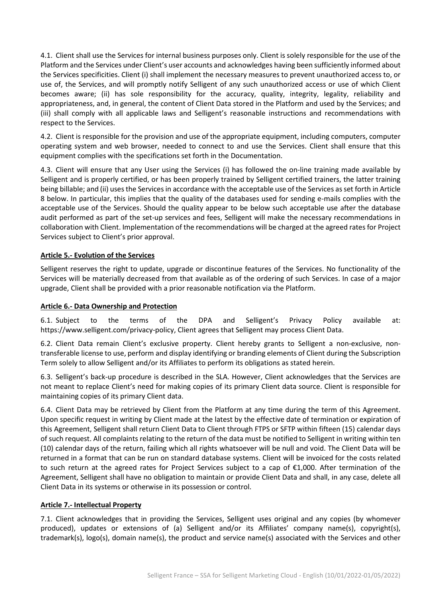4.1. Client shall use the Services for internal business purposes only. Client is solely responsible for the use of the Platform and the Services under Client's user accounts and acknowledges having been sufficiently informed about the Services specificities. Client (i) shall implement the necessary measures to prevent unauthorized access to, or use of, the Services, and will promptly notify Selligent of any such unauthorized access or use of which Client becomes aware; (ii) has sole responsibility for the accuracy, quality, integrity, legality, reliability and appropriateness, and, in general, the content of Client Data stored in the Platform and used by the Services; and (iii) shall comply with all applicable laws and Selligent's reasonable instructions and recommendations with respect to the Services.

4.2. Client is responsible for the provision and use of the appropriate equipment, including computers, computer operating system and web browser, needed to connect to and use the Services. Client shall ensure that this equipment complies with the specifications set forth in the Documentation.

4.3. Client will ensure that any User using the Services (i) has followed the on-line training made available by Selligent and is properly certified, or has been properly trained by Selligent certified trainers, the latter training being billable; and (ii) uses the Services in accordance with the acceptable use of the Services as set forth in Article 8 below. In particular, this implies that the quality of the databases used for sending e-mails complies with the acceptable use of the Services. Should the quality appear to be below such acceptable use after the database audit performed as part of the set-up services and fees, Selligent will make the necessary recommendations in collaboration with Client. Implementation of the recommendations will be charged at the agreed rates for Project Services subject to Client's prior approval.

# **Article 5.- Evolution of the Services**

Selligent reserves the right to update, upgrade or discontinue features of the Services. No functionality of the Services will be materially decreased from that available as of the ordering of such Services. In case of a major upgrade, Client shall be provided with a prior reasonable notification via the Platform.

#### **Article 6.- Data Ownership and Protection**

6.1. Subject to the terms of the DPA and Selligent's Privacy Policy available at: [https://www.selligent.com/privacy-policy,](https://www.selligent.com/privacy-policy) Client agrees that Selligent may process Client Data.

6.2. Client Data remain Client's exclusive property. Client hereby grants to Selligent a non-exclusive, nontransferable license to use, perform and display identifying or branding elements of Client during the Subscription Term solely to allow Selligent and/or its Affiliates to perform its obligations as stated herein.

6.3. Selligent's back-up procedure is described in the SLA. However, Client acknowledges that the Services are not meant to replace Client's need for making copies of its primary Client data source. Client is responsible for maintaining copies of its primary Client data.

6.4. Client Data may be retrieved by Client from the Platform at any time during the term of this Agreement. Upon specific request in writing by Client made at the latest by the effective date of termination or expiration of this Agreement, Selligent shall return Client Data to Client through FTPS or SFTP within fifteen (15) calendar days of such request. All complaints relating to the return of the data must be notified to Selligent in writing within ten (10) calendar days of the return, failing which all rights whatsoever will be null and void. The Client Data will be returned in a format that can be run on standard database systems. Client will be invoiced for the costs related to such return at the agreed rates for Project Services subject to a cap of €1,000. After termination of the Agreement, Selligent shall have no obligation to maintain or provide Client Data and shall, in any case, delete all Client Data in its systems or otherwise in its possession or control.

#### **Article 7.- Intellectual Property**

7.1. Client acknowledges that in providing the Services, Selligent uses original and any copies (by whomever produced), updates or extensions of (a) Selligent and/or its Affiliates' company name(s), copyright(s), trademark(s), logo(s), domain name(s), the product and service name(s) associated with the Services and other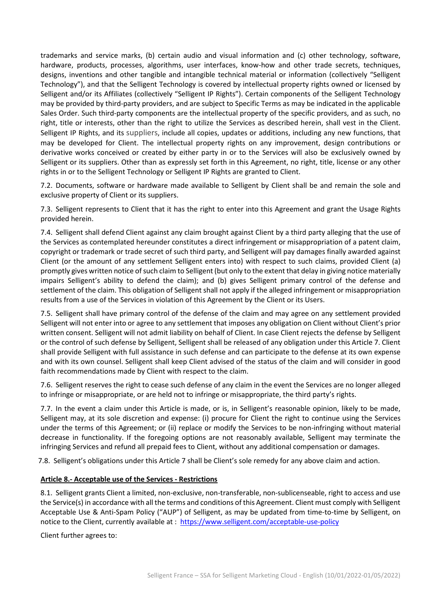trademarks and service marks, (b) certain audio and visual information and (c) other technology, software, hardware, products, processes, algorithms, user interfaces, know-how and other trade secrets, techniques, designs, inventions and other tangible and intangible technical material or information (collectively "Selligent Technology"), and that the Selligent Technology is covered by intellectual property rights owned or licensed by Selligent and/or its Affiliates (collectively "Selligent IP Rights"). Certain components of the Selligent Technology may be provided by third-party providers, and are subject to Specific Terms as may be indicated in the applicable Sales Order. Such third-party components are the intellectual property of the specific providers, and as such, no right, title or interests, other than the right to utilize the Services as described herein, shall vest in the Client. Selligent IP Rights, and its suppliers, include all copies, updates or additions, including any new functions, that may be developed for Client. The intellectual property rights on any improvement, design contributions or derivative works conceived or created by either party in or to the Services will also be exclusively owned by Selligent or its suppliers. Other than as expressly set forth in this Agreement, no right, title, license or any other rights in or to the Selligent Technology or Selligent IP Rights are granted to Client.

7.2. Documents, software or hardware made available to Selligent by Client shall be and remain the sole and exclusive property of Client or its suppliers.

7.3. Selligent represents to Client that it has the right to enter into this Agreement and grant the Usage Rights provided herein.

7.4. Selligent shall defend Client against any claim brought against Client by a third party alleging that the use of the Services as contemplated hereunder constitutes a direct infringement or misappropriation of a patent claim, copyright or trademark or trade secret of such third party, and Selligent will pay damages finally awarded against Client (or the amount of any settlement Selligent enters into) with respect to such claims, provided Client (a) promptly gives written notice of such claim to Selligent (but only to the extent that delay in giving notice materially impairs Selligent's ability to defend the claim); and (b) gives Selligent primary control of the defense and settlement of the claim. This obligation of Selligent shall not apply if the alleged infringement or misappropriation results from a use of the Services in violation of this Agreement by the Client or its Users.

7.5. Selligent shall have primary control of the defense of the claim and may agree on any settlement provided Selligent will not enter into or agree to any settlement that imposes any obligation on Client without Client's prior written consent. Selligent will not admit liability on behalf of Client. In case Client rejects the defense by Selligent or the control of such defense by Selligent, Selligent shall be released of any obligation under this Article 7. Client shall provide Selligent with full assistance in such defense and can participate to the defense at its own expense and with its own counsel. Selligent shall keep Client advised of the status of the claim and will consider in good faith recommendations made by Client with respect to the claim.

7.6. Selligent reserves the right to cease such defense of any claim in the event the Services are no longer alleged to infringe or misappropriate, or are held not to infringe or misappropriate, the third party's rights.

7.7. In the event a claim under this Article is made, or is, in Selligent's reasonable opinion, likely to be made, Selligent may, at its sole discretion and expense: (i) procure for Client the right to continue using the Services under the terms of this Agreement; or (ii) replace or modify the Services to be non-infringing without material decrease in functionality. If the foregoing options are not reasonably available, Selligent may terminate the infringing Services and refund all prepaid fees to Client, without any additional compensation or damages.

7.8. Selligent's obligations under this Article 7 shall be Client's sole remedy for any above claim and action.

#### **Article 8.- Acceptable use of the Services - Restrictions**

8.1. Selligent grants Client a limited, non-exclusive, non-transferable, non-sublicenseable, right to access and use the Service(s) in accordance with all the terms and conditions of this Agreement. Client must comply with Selligent Acceptable Use & Anti-Spam Policy ("AUP") of Selligent, as may be updated from time-to-time by Selligent, on notice to the Client, currently available at : https://www.selligent.com/acceptable-use-policy

Client further agrees to: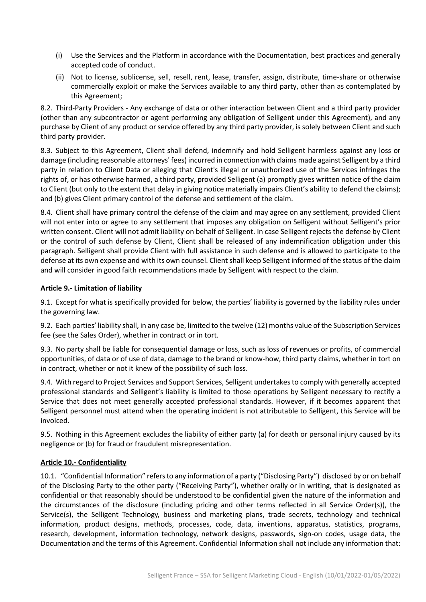- (i) Use the Services and the Platform in accordance with the Documentation, best practices and generally accepted code of conduct.
- (ii) Not to license, sublicense, sell, resell, rent, lease, transfer, assign, distribute, time-share or otherwise commercially exploit or make the Services available to any third party, other than as contemplated by this Agreement;

8.2. Third-Party Providers - Any exchange of data or other interaction between Client and a third party provider (other than any subcontractor or agent performing any obligation of Selligent under this Agreement), and any purchase by Client of any product or service offered by any third party provider, is solely between Client and such third party provider.

8.3. Subject to this Agreement, Client shall defend, indemnify and hold Selligent harmless against any loss or damage (including reasonable attorneys' fees) incurred in connection with claims made against Selligent by a third party in relation to Client Data or alleging that Client's illegal or unauthorized use of the Services infringes the rights of, or has otherwise harmed, a third party, provided Selligent (a) promptly gives written notice of the claim to Client (but only to the extent that delay in giving notice materially impairs Client's ability to defend the claims); and (b) gives Client primary control of the defense and settlement of the claim.

8.4. Client shall have primary control the defense of the claim and may agree on any settlement, provided Client will not enter into or agree to any settlement that imposes any obligation on Selligent without Selligent's prior written consent. Client will not admit liability on behalf of Selligent. In case Selligent rejects the defense by Client or the control of such defense by Client, Client shall be released of any indemnification obligation under this paragraph. Selligent shall provide Client with full assistance in such defense and is allowed to participate to the defense at its own expense and with its own counsel. Client shall keep Selligent informed of the status of the claim and will consider in good faith recommendations made by Selligent with respect to the claim.

# **Article 9.- Limitation of liability**

9.1. Except for what is specifically provided for below, the parties' liability is governed by the liability rules under the governing law.

9.2. Each parties' liability shall, in any case be, limited to the twelve (12) months value of the Subscription Services fee (see the Sales Order), whether in contract or in tort.

9.3. No party shall be liable for consequential damage or loss, such as loss of revenues or profits, of commercial opportunities, of data or of use of data, damage to the brand or know-how, third party claims, whether in tort on in contract, whether or not it knew of the possibility of such loss.

9.4. With regard to Project Services and Support Services, Selligent undertakes to comply with generally accepted professional standards and Selligent's liability is limited to those operations by Selligent necessary to rectify a Service that does not meet generally accepted professional standards. However, if it becomes apparent that Selligent personnel must attend when the operating incident is not attributable to Selligent, this Service will be invoiced.

9.5. Nothing in this Agreement excludes the liability of either party (a) for death or personal injury caused by its negligence or (b) for fraud or fraudulent misrepresentation.

# **Article 10.- Confidentiality**

10.1. "Confidential Information" refers to any information of a party ("Disclosing Party") disclosed by or on behalf of the Disclosing Party to the other party ("Receiving Party"), whether orally or in writing, that is designated as confidential or that reasonably should be understood to be confidential given the nature of the information and the circumstances of the disclosure (including pricing and other terms reflected in all Service Order(s)), the Service(s), the Selligent Technology, business and marketing plans, trade secrets, technology and technical information, product designs, methods, processes, code, data, inventions, apparatus, statistics, programs, research, development, information technology, network designs, passwords, sign-on codes, usage data, the Documentation and the terms of this Agreement. Confidential Information shall not include any information that: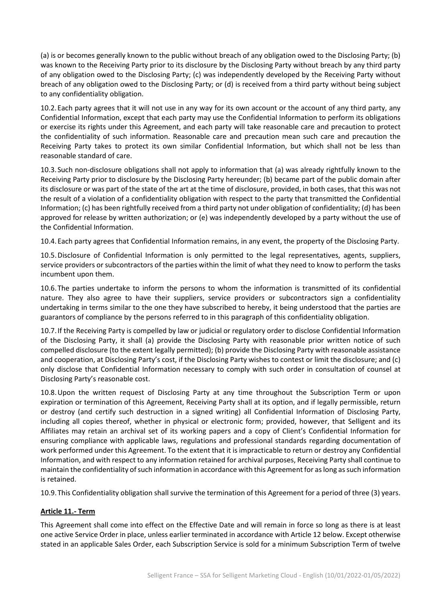(a) is or becomes generally known to the public without breach of any obligation owed to the Disclosing Party; (b) was known to the Receiving Party prior to its disclosure by the Disclosing Party without breach by any third party of any obligation owed to the Disclosing Party; (c) was independently developed by the Receiving Party without breach of any obligation owed to the Disclosing Party; or (d) is received from a third party without being subject to any confidentiality obligation.

10.2.Each party agrees that it will not use in any way for its own account or the account of any third party, any Confidential Information, except that each party may use the Confidential Information to perform its obligations or exercise its rights under this Agreement, and each party will take reasonable care and precaution to protect the confidentiality of such information. Reasonable care and precaution mean such care and precaution the Receiving Party takes to protect its own similar Confidential Information, but which shall not be less than reasonable standard of care.

10.3.Such non-disclosure obligations shall not apply to information that (a) was already rightfully known to the Receiving Party prior to disclosure by the Disclosing Party hereunder; (b) became part of the public domain after its disclosure or was part of the state of the art at the time of disclosure, provided, in both cases, that this was not the result of a violation of a confidentiality obligation with respect to the party that transmitted the Confidential Information; (c) has been rightfully received from a third party not under obligation of confidentiality; (d) has been approved for release by written authorization; or (e) was independently developed by a party without the use of the Confidential Information.

10.4.Each party agrees that Confidential Information remains, in any event, the property of the Disclosing Party.

10.5.Disclosure of Confidential Information is only permitted to the legal representatives, agents, suppliers, service providers or subcontractors of the parties within the limit of what they need to know to perform the tasks incumbent upon them.

10.6.The parties undertake to inform the persons to whom the information is transmitted of its confidential nature. They also agree to have their suppliers, service providers or subcontractors sign a confidentiality undertaking in terms similar to the one they have subscribed to hereby, it being understood that the parties are guarantors of compliance by the persons referred to in this paragraph of this confidentiality obligation.

10.7.If the Receiving Party is compelled by law or judicial or regulatory order to disclose Confidential Information of the Disclosing Party, it shall (a) provide the Disclosing Party with reasonable prior written notice of such compelled disclosure (to the extent legally permitted); (b) provide the Disclosing Party with reasonable assistance and cooperation, at Disclosing Party's cost, if the Disclosing Party wishes to contest or limit the disclosure; and (c) only disclose that Confidential Information necessary to comply with such order in consultation of counsel at Disclosing Party's reasonable cost.

10.8.Upon the written request of Disclosing Party at any time throughout the Subscription Term or upon expiration or termination of this Agreement, Receiving Party shall at its option, and if legally permissible, return or destroy (and certify such destruction in a signed writing) all Confidential Information of Disclosing Party, including all copies thereof, whether in physical or electronic form; provided, however, that Selligent and its Affiliates may retain an archival set of its working papers and a copy of Client's Confidential Information for ensuring compliance with applicable laws, regulations and professional standards regarding documentation of work performed under this Agreement. To the extent that it is impracticable to return or destroy any Confidential Information, and with respect to any information retained for archival purposes, Receiving Party shall continue to maintain the confidentiality of such information in accordance with this Agreement for as long as such information is retained.

10.9.This Confidentiality obligation shall survive the termination of this Agreement for a period of three (3) years.

#### **Article 11.- Term**

This Agreement shall come into effect on the Effective Date and will remain in force so long as there is at least one active Service Order in place, unless earlier terminated in accordance with Article 12 below. Except otherwise stated in an applicable Sales Order, each Subscription Service is sold for a minimum Subscription Term of twelve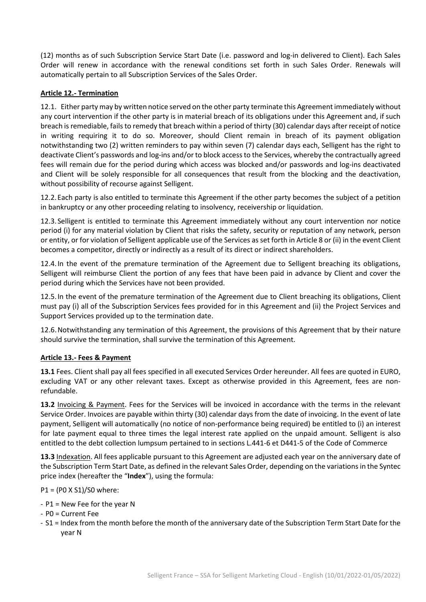(12) months as of such Subscription Service Start Date (i.e. password and log-in delivered to Client). Each Sales Order will renew in accordance with the renewal conditions set forth in such Sales Order. Renewals will automatically pertain to all Subscription Services of the Sales Order.

# **Article 12.- Termination**

12.1. Either party may by written notice served on the other party terminate this Agreement immediately without any court intervention if the other party is in material breach of its obligations under this Agreement and, if such breach is remediable, fails to remedy that breach within a period of thirty (30) calendar days after receipt of notice in writing requiring it to do so. Moreover, should Client remain in breach of its payment obligation notwithstanding two (2) written reminders to pay within seven (7) calendar days each, Selligent has the right to deactivate Client's passwords and log-ins and/or to block access to the Services, whereby the contractually agreed fees will remain due for the period during which access was blocked and/or passwords and log-ins deactivated and Client will be solely responsible for all consequences that result from the blocking and the deactivation, without possibility of recourse against Selligent.

12.2.Each party is also entitled to terminate this Agreement if the other party becomes the subject of a petition in bankruptcy or any other proceeding relating to insolvency, receivership or liquidation.

12.3.Selligent is entitled to terminate this Agreement immediately without any court intervention nor notice period (i) for any material violation by Client that risks the safety, security or reputation of any network, person or entity, or for violation of Selligent applicable use of the Services as set forth in Article 8 or (ii) in the event Client becomes a competitor, directly or indirectly as a result of its direct or indirect shareholders.

12.4.In the event of the premature termination of the Agreement due to Selligent breaching its obligations, Selligent will reimburse Client the portion of any fees that have been paid in advance by Client and cover the period during which the Services have not been provided.

12.5.In the event of the premature termination of the Agreement due to Client breaching its obligations, Client must pay (i) all of the Subscription Services fees provided for in this Agreement and (ii) the Project Services and Support Services provided up to the termination date.

12.6.Notwithstanding any termination of this Agreement, the provisions of this Agreement that by their nature should survive the termination, shall survive the termination of this Agreement.

# **Article 13.- Fees & Payment**

**13.1** Fees. Client shall pay all fees specified in all executed Services Order hereunder. All fees are quoted in EURO, excluding VAT or any other relevant taxes. Except as otherwise provided in this Agreement, fees are nonrefundable.

**13.2** Invoicing & Payment. Fees for the Services will be invoiced in accordance with the terms in the relevant Service Order. Invoices are payable within thirty (30) calendar days from the date of invoicing. In the event of late payment, Selligent will automatically (no notice of non-performance being required) be entitled to (i) an interest for late payment equal to three times the legal interest rate applied on the unpaid amount. Selligent is also entitled to the debt collection lumpsum pertained to in sections L.441-6 et D441-5 of the Code of Commerce

**13.3** Indexation. All fees applicable pursuant to this Agreement are adjusted each year on the anniversary date of the Subscription Term Start Date, as defined in the relevant Sales Order, depending on the variations in the Syntec price index (hereafter the "**Index**"), using the formula:

P1 = (P0 X S1)/S0 where:

- P1 = New Fee for the year N
- P0 = Current Fee
- S1 = Index from the month before the month of the anniversary date of the Subscription Term Start Date for the year N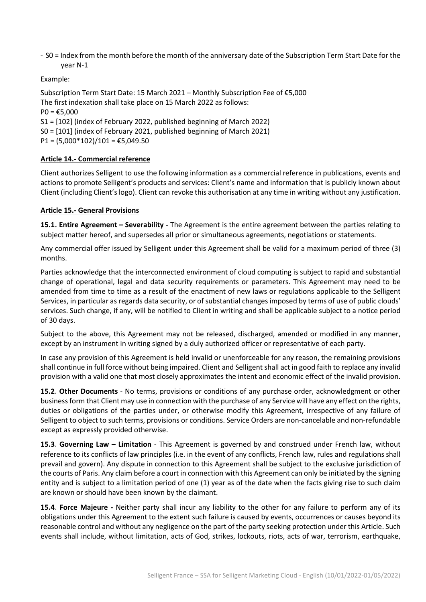- S0 = Index from the month before the month of the anniversary date of the Subscription Term Start Date for the year N-1

Example:

Subscription Term Start Date: 15 March 2021 – Monthly Subscription Fee of €5,000 The first indexation shall take place on 15 March 2022 as follows:  $PO = £5,000$ S1 = [102] (index of February 2022, published beginning of March 2022) S0 = [101] (index of February 2021, published beginning of March 2021)  $P1 = (5,000*102)/101 = \text{\textsterling}5,049.50$ 

# **Article 14.- Commercial reference**

Client authorizes Selligent to use the following information as a commercial reference in publications, events and actions to promote Selligent's products and services: Client's name and information that is publicly known about Client (including Client's logo). Client can revoke this authorisation at any time in writing without any justification.

# **Article 15.- General Provisions**

**15.1. Entire Agreement – Severability -** The Agreement is the entire agreement between the parties relating to subject matter hereof, and supersedes all prior or simultaneous agreements, negotiations or statements.

Any commercial offer issued by Selligent under this Agreement shall be valid for a maximum period of three (3) months.

Parties acknowledge that the interconnected environment of cloud computing is subject to rapid and substantial change of operational, legal and data security requirements or parameters. This Agreement may need to be amended from time to time as a result of the enactment of new laws or regulations applicable to the Selligent Services, in particular as regards data security, or of substantial changes imposed by terms of use of public clouds' services. Such change, if any, will be notified to Client in writing and shall be applicable subject to a notice period of 30 days.

Subject to the above, this Agreement may not be released, discharged, amended or modified in any manner, except by an instrument in writing signed by a duly authorized officer or representative of each party.

In case any provision of this Agreement is held invalid or unenforceable for any reason, the remaining provisions shall continue in full force without being impaired. Client and Selligent shall act in good faith to replace any invalid provision with a valid one that most closely approximates the intent and economic effect of the invalid provision.

**15.2**. **Other Documents** - No terms, provisions or conditions of any purchase order, acknowledgment or other business form that Client may use in connection with the purchase of any Service will have any effect on the rights, duties or obligations of the parties under, or otherwise modify this Agreement, irrespective of any failure of Selligent to object to such terms, provisions or conditions. Service Orders are non-cancelable and non-refundable except as expressly provided otherwise.

**15.3**. **Governing Law – Limitation** - This Agreement is governed by and construed under French law, without reference to its conflicts of law principles (i.e. in the event of any conflicts, French law, rules and regulations shall prevail and govern). Any dispute in connection to this Agreement shall be subject to the exclusive jurisdiction of the courts of Paris. Any claim before a court in connection with this Agreement can only be initiated by the signing entity and is subject to a limitation period of one (1) year as of the date when the facts giving rise to such claim are known or should have been known by the claimant.

**15.4**. **Force Majeure -** Neither party shall incur any liability to the other for any failure to perform any of its obligations under this Agreement to the extent such failure is caused by events, occurrences or causes beyond its reasonable control and without any negligence on the part of the party seeking protection under this Article. Such events shall include, without limitation, acts of God, strikes, lockouts, riots, acts of war, terrorism, earthquake,